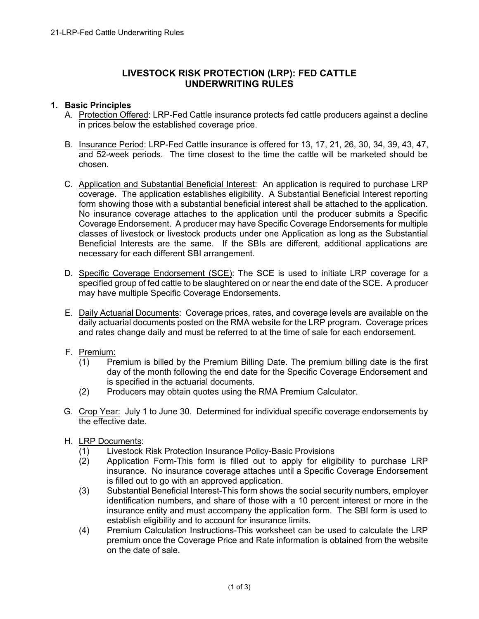# **LIVESTOCK RISK PROTECTION (LRP): FED CATTLE UNDERWRITING RULES**

### **1. Basic Principles**

- A. Protection Offered: LRP-Fed Cattle insurance protects fed cattle producers against a decline in prices below the established coverage price.
- B. Insurance Period: LRP-Fed Cattle insurance is offered for 13, 17, 21, 26, 30, 34, 39, 43, 47, and 52-week periods. The time closest to the time the cattle will be marketed should be chosen.
- C. Application and Substantial Beneficial Interest: An application is required to purchase LRP coverage. The application establishes eligibility. A Substantial Beneficial Interest reporting form showing those with a substantial beneficial interest shall be attached to the application. No insurance coverage attaches to the application until the producer submits a Specific Coverage Endorsement. A producer may have Specific Coverage Endorsements for multiple classes of livestock or livestock products under one Application as long as the Substantial Beneficial Interests are the same. If the SBIs are different, additional applications are necessary for each different SBI arrangement.
- D. Specific Coverage Endorsement (SCE): The SCE is used to initiate LRP coverage for a specified group of fed cattle to be slaughtered on or near the end date of the SCE. A producer may have multiple Specific Coverage Endorsements.
- E. Daily Actuarial Documents: Coverage prices, rates, and coverage levels are available on the daily actuarial documents posted on the RMA website for the LRP program. Coverage prices and rates change daily and must be referred to at the time of sale for each endorsement.
- F. Premium:
	- (1) Premium is billed by the Premium Billing Date. The premium billing date is the first day of the month following the end date for the Specific Coverage Endorsement and is specified in the actuarial documents.
	- (2) Producers may obtain quotes using the RMA Premium Calculator.
- G. Crop Year: July 1 to June 30. Determined for individual specific coverage endorsements by the effective date.
- H. LRP Documents:
	- (1) Livestock Risk Protection Insurance Policy-Basic Provisions
	- (2) Application Form-This form is filled out to apply for eligibility to purchase LRP insurance. No insurance coverage attaches until a Specific Coverage Endorsement is filled out to go with an approved application.
	- (3) Substantial Beneficial Interest-This form shows the social security numbers, employer identification numbers, and share of those with a 10 percent interest or more in the insurance entity and must accompany the application form. The SBI form is used to establish eligibility and to account for insurance limits.
	- (4) Premium Calculation Instructions-This worksheet can be used to calculate the LRP premium once the Coverage Price and Rate information is obtained from the website on the date of sale.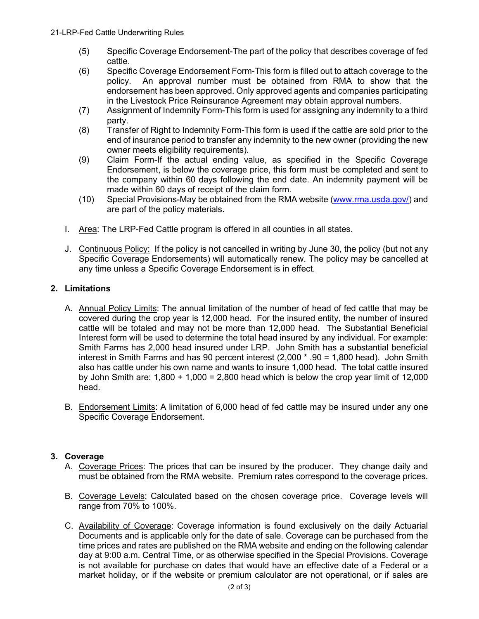- (5) Specific Coverage Endorsement-The part of the policy that describes coverage of fed cattle.
- (6) Specific Coverage Endorsement Form-This form is filled out to attach coverage to the policy. An approval number must be obtained from RMA to show that the endorsement has been approved. Only approved agents and companies participating in the Livestock Price Reinsurance Agreement may obtain approval numbers.
- (7) Assignment of Indemnity Form-This form is used for assigning any indemnity to a third party.
- (8) Transfer of Right to Indemnity Form-This form is used if the cattle are sold prior to the end of insurance period to transfer any indemnity to the new owner (providing the new owner meets eligibility requirements).
- (9) Claim Form-If the actual ending value, as specified in the Specific Coverage Endorsement, is below the coverage price, this form must be completed and sent to the company within 60 days following the end date. An indemnity payment will be made within 60 days of receipt of the claim form.
- (10) Special Provisions-May be obtained from the RMA website [\(www.rma.usda.gov/\)](https://www.rma.usda.gov/) and are part of the policy materials.
- I. Area: The LRP-Fed Cattle program is offered in all counties in all states.
- J. Continuous Policy: If the policy is not cancelled in writing by June 30, the policy (but not any Specific Coverage Endorsements) will automatically renew. The policy may be cancelled at any time unless a Specific Coverage Endorsement is in effect.

# **2. Limitations**

- A. Annual Policy Limits: The annual limitation of the number of head of fed cattle that may be covered during the crop year is 12,000 head. For the insured entity, the number of insured cattle will be totaled and may not be more than 12,000 head. The Substantial Beneficial Interest form will be used to determine the total head insured by any individual. For example: Smith Farms has 2,000 head insured under LRP. John Smith has a substantial beneficial interest in Smith Farms and has 90 percent interest (2,000 \* .90 = 1,800 head). John Smith also has cattle under his own name and wants to insure 1,000 head. The total cattle insured by John Smith are:  $1,800 + 1,000 = 2,800$  head which is below the crop year limit of 12,000 head.
- B. Endorsement Limits: A limitation of 6,000 head of fed cattle may be insured under any one Specific Coverage Endorsement.

# **3. Coverage**

- A. Coverage Prices: The prices that can be insured by the producer. They change daily and must be obtained from the RMA website. Premium rates correspond to the coverage prices.
- B. Coverage Levels: Calculated based on the chosen coverage price. Coverage levels will range from 70% to 100%.
- C. Availability of Coverage: Coverage information is found exclusively on the daily Actuarial Documents and is applicable only for the date of sale. Coverage can be purchased from the time prices and rates are published on the RMA website and ending on the following calendar day at 9:00 a.m. Central Time, or as otherwise specified in the Special Provisions. Coverage is not available for purchase on dates that would have an effective date of a Federal or a market holiday, or if the website or premium calculator are not operational, or if sales are